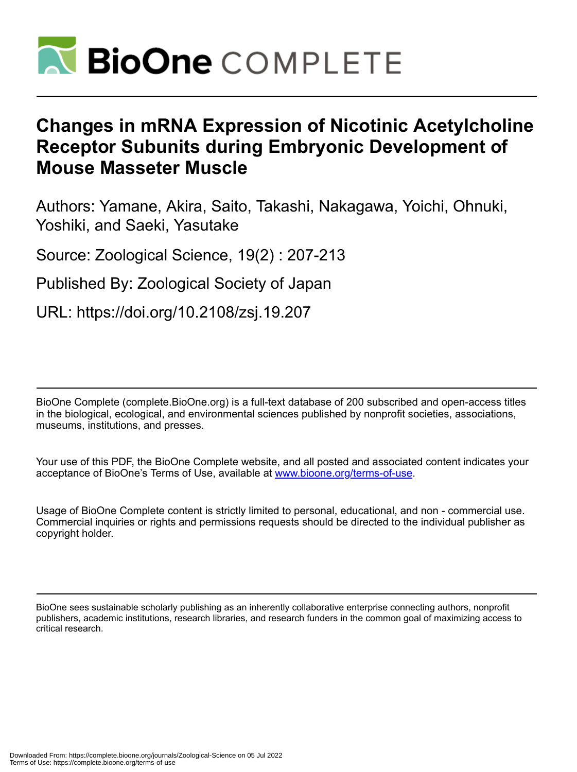

# **Changes in mRNA Expression of Nicotinic Acetylcholine Receptor Subunits during Embryonic Development of Mouse Masseter Muscle**

Authors: Yamane, Akira, Saito, Takashi, Nakagawa, Yoichi, Ohnuki, Yoshiki, and Saeki, Yasutake

Source: Zoological Science, 19(2) : 207-213

Published By: Zoological Society of Japan

URL: https://doi.org/10.2108/zsj.19.207

BioOne Complete (complete.BioOne.org) is a full-text database of 200 subscribed and open-access titles in the biological, ecological, and environmental sciences published by nonprofit societies, associations, museums, institutions, and presses.

Your use of this PDF, the BioOne Complete website, and all posted and associated content indicates your acceptance of BioOne's Terms of Use, available at www.bioone.org/terms-of-use.

Usage of BioOne Complete content is strictly limited to personal, educational, and non - commercial use. Commercial inquiries or rights and permissions requests should be directed to the individual publisher as copyright holder.

BioOne sees sustainable scholarly publishing as an inherently collaborative enterprise connecting authors, nonprofit publishers, academic institutions, research libraries, and research funders in the common goal of maximizing access to critical research.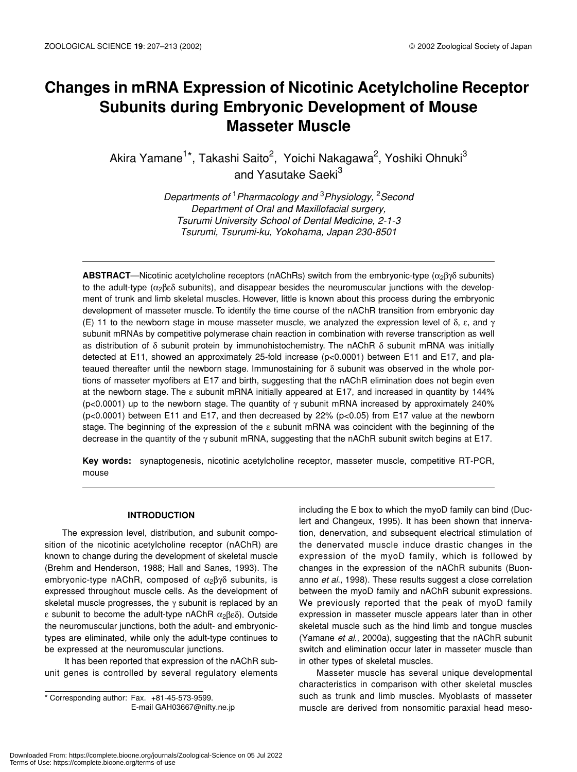# **Changes in mRNA Expression of Nicotinic Acetylcholine Receptor Subunits during Embryonic Development of Mouse Masseter Muscle**

Akira Yamane<sup>1\*</sup>, Takashi Saito<sup>2</sup>, Yoichi Nakagawa<sup>2</sup>, Yoshiki Ohnuki<sup>3</sup> and Yasutake Saeki<sup>3</sup>

> *Departments of* <sup>1</sup> *Pharmacology and* <sup>3</sup> *Physiology,* <sup>2</sup> *Second Department of Oral and Maxillofacial surgery, Tsurumi University School of Dental Medicine, 2-1-3 Tsurumi, Tsurumi-ku, Yokohama, Japan 230-8501*

**ABSTRACT—Nicotinic acetylcholine receptors (nAChRs) switch from the embryonic-type (α<sub>2</sub>βγδ subunits)** to the adult-type ( $\alpha_2\beta_2\delta$  subunits), and disappear besides the neuromuscular junctions with the development of trunk and limb skeletal muscles. However, little is known about this process during the embryonic development of masseter muscle. To identify the time course of the nAChR transition from embryonic day (E) 11 to the newborn stage in mouse masseter muscle, we analyzed the expression level of  $\delta$ ,  $\varepsilon$ , and  $\gamma$ subunit mRNAs by competitive polymerase chain reaction in combination with reverse transcription as well as distribution of δ subunit protein by immunohistochemistry. The nAChR δ subunit mRNA was initially detected at E11, showed an approximately 25-fold increase (p<0.0001) between E11 and E17, and plateaued thereafter until the newborn stage. Immunostaining for δ subunit was observed in the whole portions of masseter myofibers at E17 and birth, suggesting that the nAChR elimination does not begin even at the newborn stage. The ε subunit mRNA initially appeared at E17, and increased in quantity by 144% (p<0.0001) up to the newborn stage. The quantity of  $\gamma$  subunit mRNA increased by approximately 240% (p<0.0001) between E11 and E17, and then decreased by 22% (p<0.05) from E17 value at the newborn stage. The beginning of the expression of the ε subunit mRNA was coincident with the beginning of the decrease in the quantity of the γ subunit mRNA, suggesting that the nAChR subunit switch begins at E17.

**Key words:** synaptogenesis, nicotinic acetylcholine receptor, masseter muscle, competitive RT-PCR, mouse

### **INTRODUCTION**

The expression level, distribution, and subunit composition of the nicotinic acetylcholine receptor (nAChR) are known to change during the development of skeletal muscle (Brehm and Henderson, 1988; Hall and Sanes, 1993). The embryonic-type nAChR, composed of  $\alpha_2\beta\gamma\delta$  subunits, is expressed throughout muscle cells. As the development of skeletal muscle progresses, the  $\gamma$  subunit is replaced by an ε subunit to become the adult-type nAChR  $\alpha_2\beta_1\delta_2$ . Outside the neuromuscular junctions, both the adult- and embryonictypes are eliminated, while only the adult-type continues to be expressed at the neuromuscular junctions.

 It has been reported that expression of the nAChR subunit genes is controlled by several regulatory elements

\* Corresponding author: Fax. +81-45-573-9599. E-mail GAH03667@nifty.ne.jp including the E box to which the myoD family can bind (Duclert and Changeux, 1995). It has been shown that innervation, denervation, and subsequent electrical stimulation of the denervated muscle induce drastic changes in the expression of the myoD family, which is followed by changes in the expression of the nAChR subunits (Buonanno *et al*., 1998). These results suggest a close correlation between the myoD family and nAChR subunit expressions. We previously reported that the peak of myoD family expression in masseter muscle appears later than in other skeletal muscle such as the hind limb and tongue muscles (Yamane *et al*., 2000a), suggesting that the nAChR subunit switch and elimination occur later in masseter muscle than in other types of skeletal muscles.

Masseter muscle has several unique developmental characteristics in comparison with other skeletal muscles such as trunk and limb muscles. Myoblasts of masseter muscle are derived from nonsomitic paraxial head meso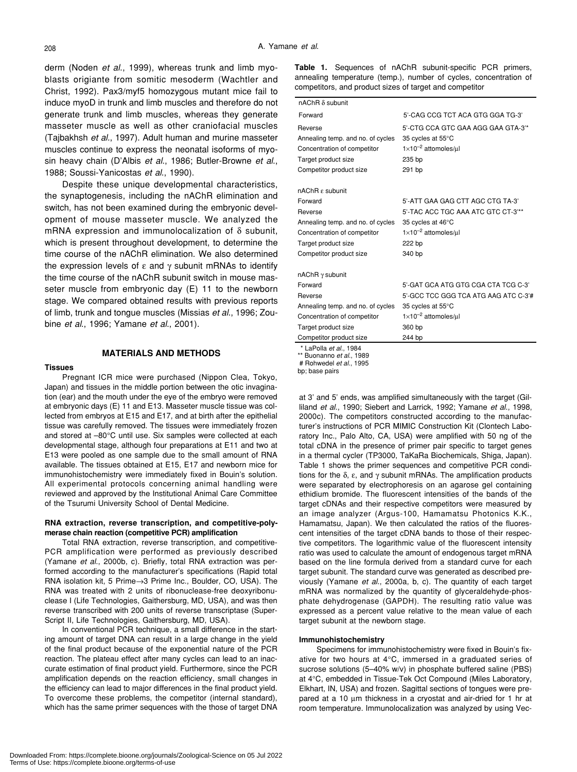derm (Noden *et al*., 1999), whereas trunk and limb myoblasts origiante from somitic mesoderm (Wachtler and Christ, 1992). Pax3/myf5 homozygous mutant mice fail to induce myoD in trunk and limb muscles and therefore do not generate trunk and limb muscles, whereas they generate masseter muscle as well as other craniofacial muscles (Tajbakhsh *et al.*, 1997). Adult human and murine masseter muscles continue to express the neonatal isoforms of myosin heavy chain (D'Albis *et al*., 1986; Butler-Browne *et al*., 1988; Soussi-Yanicostas *et al*., 1990).

Despite these unique developmental characteristics, the synaptogenesis, including the nAChR elimination and switch, has not been examined during the embryonic development of mouse masseter muscle. We analyzed the mRNA expression and immunolocalization of  $\delta$  subunit, which is present throughout development, to determine the time course of the nAChR elimination. We also determined the expression levels of  $\varepsilon$  and  $\gamma$  subunit mRNAs to identify the time course of the nAChR subunit switch in mouse masseter muscle from embryonic day (E) 11 to the newborn stage. We compared obtained results with previous reports of limb, trunk and tongue muscles (Missias *et al*., 1996; Zoubine *et al*., 1996; Yamane *et al*., 2001).

#### **MATERIALS AND METHODS**

#### **Tissues**

Pregnant ICR mice were purchased (Nippon Clea, Tokyo, Japan) and tissues in the middle portion between the otic invagination (ear) and the mouth under the eye of the embryo were removed at embryonic days (E) 11 and E13. Masseter muscle tissue was collected from embryos at E15 and E17, and at birth after the epithelial tissue was carefully removed. The tissues were immediately frozen and stored at –80°C until use. Six samples were collected at each developmental stage, although four preparations at E11 and two at E13 were pooled as one sample due to the small amount of RNA available. The tissues obtained at E15, E17 and newborn mice for immunohistochemistry were immediately fixed in Bouin's solution. All experimental protocols concerning animal handling were reviewed and approved by the Institutional Animal Care Committee of the Tsurumi University School of Dental Medicine.

#### **RNA extraction, reverse transcription, and competitive-polymerase chain reaction (competitive PCR) amplification**

Total RNA extraction, reverse transcription, and competitive-PCR amplification were performed as previously described (Yamane *et al*., 2000b, c). Briefly, total RNA extraction was performed according to the manufacturer's specifications (Rapid total RNA isolation kit, 5 Prime→3 Prime Inc., Boulder, CO, USA). The RNA was treated with 2 units of ribonuclease-free deoxyribonuclease I (Life Technologies, Gaithersburg, MD, USA), and was then reverse transcribed with 200 units of reverse transcriptase (Super-Script II, Life Technologies, Gaithersburg, MD, USA).

In conventional PCR technique, a small difference in the starting amount of target DNA can result in a large change in the yield of the final product because of the exponential nature of the PCR reaction. The plateau effect after many cycles can lead to an inaccurate estimation of final product yield. Furthermore, since the PCR amplification depends on the reaction efficiency, small changes in the efficiency can lead to major differences in the final product yield. To overcome these problems, the competitor (internal standard), which has the same primer sequences with the those of target DNA **Table 1.** Sequences of nAChR subunit-specific PCR primers, annealing temperature (temp.), number of cycles, concentration of competitors, and product sizes of target and competitor

| $nAChR \delta$ subunit                            |                                      |  |  |
|---------------------------------------------------|--------------------------------------|--|--|
| Forward                                           | 5'-CAG CCG TCT ACA GTG GGA TG-3'     |  |  |
| Reverse                                           | 5'-CTG CCA GTC GAA AGG GAA GTA-3'*   |  |  |
| Annealing temp. and no. of cycles                 | 35 cycles at 55°C                    |  |  |
| Concentration of competitor                       | $1\times10^{-2}$ attomoles/ $\mu$ l  |  |  |
| Target product size                               | 235 bp                               |  |  |
| Competitor product size                           | 291 bp                               |  |  |
| nAChR $\varepsilon$ subunit                       |                                      |  |  |
| Forward                                           | 5'-ATT GAA GAG CTT AGC CTG TA-3'     |  |  |
| Reverse                                           | 5'-TAC ACC TGC AAA ATC GTC CT-3'**   |  |  |
| Annealing temp. and no. of cycles                 | 35 cycles at 46°C                    |  |  |
| Concentration of competitor                       | $1\times10^{-2}$ attomoles/ul        |  |  |
| Target product size                               | 222 bp                               |  |  |
| Competitor product size                           | 340 bp                               |  |  |
| $nAChR \gamma subunit$                            |                                      |  |  |
| Forward                                           | 5'-GAT GCA ATG GTG CGA CTA TCG C-3'  |  |  |
| Reverse                                           | 5'-GCC TCC GGG TCA ATG AAG ATC C-3'# |  |  |
| Annealing temp. and no. of cycles                 | 35 cycles at 55°C                    |  |  |
| Concentration of competitor                       | $1\times10^{-2}$ attomoles/ul        |  |  |
| Target product size                               | 360 bp                               |  |  |
| Competitor product size                           | 244 bp                               |  |  |
| * LaPolla et al., 1984<br>$**$ $\Box$<br>$-2 - 1$ |                                      |  |  |

Buonanno et al., 1989

 # Rohwedel *et al*., 1995 bp; base pairs

at 3' and 5' ends, was amplified simultaneously with the target (Gilliland *et al*., 1990; Siebert and Larrick, 1992; Yamane *et al*., 1998, 2000c). The competitors constructed according to the manufacturer's instructions of PCR MIMIC Construction Kit (Clontech Laboratory Inc., Palo Alto, CA, USA) were amplified with 50 ng of the total cDNA in the presence of primer pair specific to target genes in a thermal cycler (TP3000, TaKaRa Biochemicals, Shiga, Japan). Table 1 shows the primer sequences and competitive PCR conditions for the  $δ$ ,  $ε$ , and  $γ$  subunit mRNAs. The amplification products were separated by electrophoresis on an agarose gel containing ethidium bromide. The fluorescent intensities of the bands of the target cDNAs and their respective competitors were measured by an image analyzer (Argus-100, Hamamatsu Photonics K.K., Hamamatsu, Japan). We then calculated the ratios of the fluorescent intensities of the target cDNA bands to those of their respective competitors. The logarithmic value of the fluorescent intensity ratio was used to calculate the amount of endogenous target mRNA based on the line formula derived from a standard curve for each target subunit. The standard curve was generated as described previously (Yamane *et al*., 2000a, b, c). The quantity of each target mRNA was normalized by the quantity of glyceraldehyde-phosphate dehydrogenase (GAPDH). The resulting ratio value was expressed as a percent value relative to the mean value of each target subunit at the newborn stage.

#### **Immunohistochemistry**

Specimens for immunohistochemistry were fixed in Bouin's fixative for two hours at 4°C, immersed in a graduated series of sucrose solutions (5–40% w/v) in phosphate buffered saline (PBS) at 4°C, embedded in Tissue-Tek Oct Compound (Miles Laboratory, Elkhart, IN, USA) and frozen. Sagittal sections of tongues were prepared at a 10  $\mu$ m thickness in a cryostat and air-dried for 1 hr at room temperature. Immunolocalization was analyzed by using Vec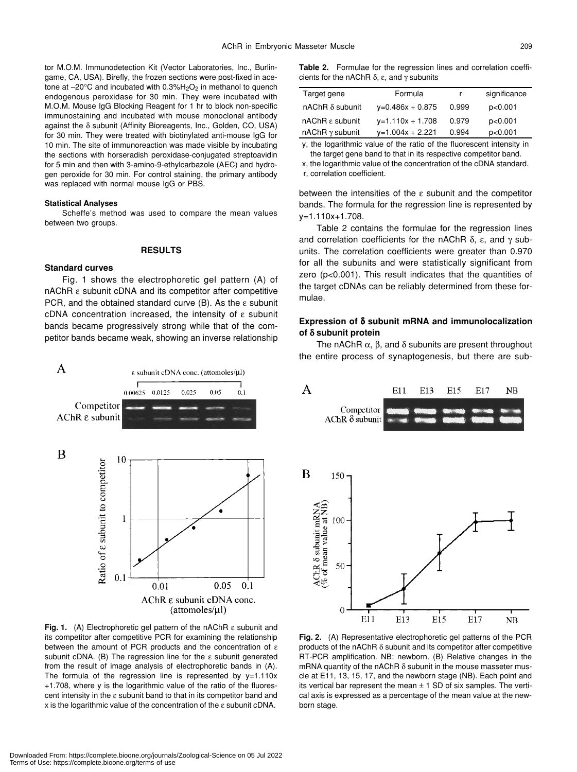tor M.O.M. Immunodetection Kit (Vector Laboratories, Inc., Burlingame, CA, USA). Birefly, the frozen sections were post-fixed in acetone at  $-20^{\circ}$ C and incubated with 0.3% $H_2O_2$  in methanol to quench endogenous peroxidase for 30 min. They were incubated with M.O.M. Mouse IgG Blocking Reagent for 1 hr to block non-specific immunostaining and incubated with mouse monoclonal antibody against the δ subunit (Affinity Bioreagents, Inc., Golden, CO, USA) for 30 min. They were treated with biotinylated anti-mouse IgG for 10 min. The site of immunoreaction was made visible by incubating the sections with horseradish peroxidase-conjugated streptoavidin for 5 min and then with 3-amino-9-ethylcarbazole (AEC) and hydrogen peroxide for 30 min. For control staining, the primary antibody was replaced with normal mouse IgG or PBS.

#### **Statistical Analyses**

Scheffe's method was used to compare the mean values between two groups.

#### **RESULTS**

#### **Standard curves**

Fig. 1 shows the electrophoretic gel pattern (A) of nAChR ε subunit cDNA and its competitor after competitive PCR, and the obtained standard curve  $(B)$ . As the  $\varepsilon$  subunit cDNA concentration increased, the intensity of ε subunit bands became progressively strong while that of the competitor bands became weak, showing an inverse relationship



**Fig. 1.** (A) Electrophoretic gel pattern of the nAChR ε subunit and its competitor after competitive PCR for examining the relationship between the amount of PCR products and the concentration of  $\varepsilon$ subunit cDNA. (B) The regression line for the ε subunit generated from the result of image analysis of electrophoretic bands in (A). The formula of the regression line is represented by  $y=1.110x$ +1.708, where y is the logarithmic value of the ratio of the fluorescent intensity in the  $\varepsilon$  subunit band to that in its competitor band and x is the logarithmic value of the concentration of the ε subunit cDNA.

**Table 2.** Formulae for the regression lines and correlation coefficients for the nAChR  $\delta$ , ε, and γ subunits

| Target gene                 | Formula            |       | significance |
|-----------------------------|--------------------|-------|--------------|
| $nAChR \delta$ subunit      | $y=0.486x + 0.875$ | 0.999 | p<0.001      |
| nAChR $\varepsilon$ subunit | $y=1.110x + 1.708$ | 0.979 | p < 0.001    |
| $n$ AChR $\gamma$ subunit   | $y=1.004x + 2.221$ | 0.994 | p<0.001      |
|                             | .                  |       | .            |

y, the logarithmic value of the ratio of the fluorescent intensity in the target gene band to that in its respective competitor band.

x, the logarithmic value of the concentration of the cDNA standard.

r, correlation coefficient.

between the intensities of the ε subunit and the competitor bands. The formula for the regression line is represented by y=1.110x+1.708.

Table 2 contains the formulae for the regression lines and correlation coefficients for the nAChR  $\delta$ , ε, and γ subunits. The correlation coefficients were greater than 0.970 for all the subunits and were statistically significant from zero (p<0.001). This result indicates that the quantities of the target cDNAs can be reliably determined from these formulae.

## **Expression of** δ **subunit mRNA and immunolocalization of** δ **subunit protein**

The nAChR  $\alpha$ ,  $\beta$ , and  $\delta$  subunits are present throughout the entire process of synaptogenesis, but there are sub-



**Fig. 2.** (A) Representative electrophoretic gel patterns of the PCR products of the nAChR  $\delta$  subunit and its competitor after competitive RT-PCR amplification. NB: newborn. (B) Relative changes in the mRNA quantity of the nAChR δ subunit in the mouse masseter muscle at E11, 13, 15, 17, and the newborn stage (NB). Each point and its vertical bar represent the mean  $\pm$  1 SD of six samples. The vertical axis is expressed as a percentage of the mean value at the newborn stage.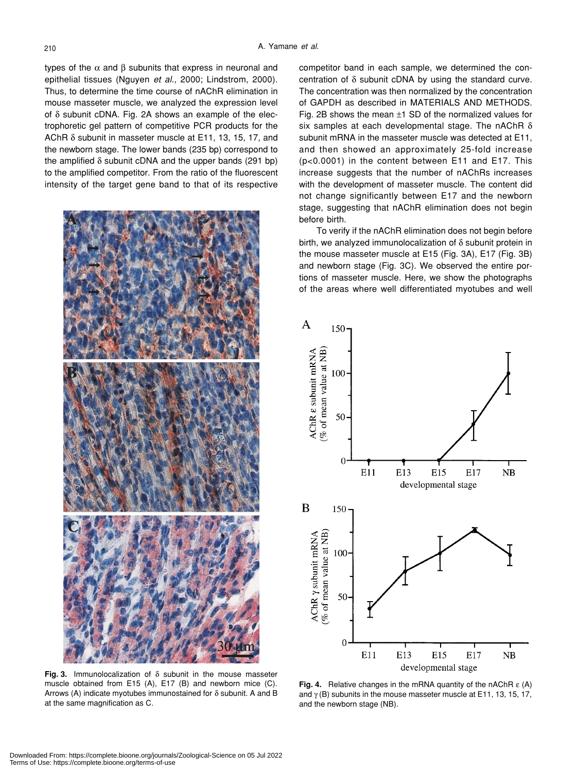types of the  $\alpha$  and  $\beta$  subunits that express in neuronal and epithelial tissues (Nguyen *et al*., 2000; Lindstrom, 2000). Thus, to determine the time course of nAChR elimination in mouse masseter muscle, we analyzed the expression level of δ subunit cDNA. Fig. 2A shows an example of the electrophoretic gel pattern of competitive PCR products for the AChR δ subunit in masseter muscle at E11, 13, 15, 17, and the newborn stage. The lower bands (235 bp) correspond to the amplified  $\delta$  subunit cDNA and the upper bands (291 bp) to the amplified competitor. From the ratio of the fluorescent intensity of the target gene band to that of its respective



**Fig. 3.** Immunolocalization of δ subunit in the mouse masseter muscle obtained from E15 (A), E17 (B) and newborn mice (C). Arrows (A) indicate myotubes immunostained for  $\delta$  subunit. A and B at the same magnification as C.

competitor band in each sample, we determined the concentration of δ subunit cDNA by using the standard curve. The concentration was then normalized by the concentration of GAPDH as described in MATERIALS AND METHODS. Fig. 2B shows the mean  $\pm 1$  SD of the normalized values for six samples at each developmental stage. The nAChR δ subunit mRNA in the masseter muscle was detected at E11, and then showed an approximately 25-fold increase (p<0.0001) in the content between E11 and E17. This increase suggests that the number of nAChRs increases with the development of masseter muscle. The content did not change significantly between E17 and the newborn stage, suggesting that nAChR elimination does not begin before birth.

To verify if the nAChR elimination does not begin before birth, we analyzed immunolocalization of δ subunit protein in the mouse masseter muscle at E15 (Fig. 3A), E17 (Fig. 3B) and newborn stage (Fig. 3C). We observed the entire portions of masseter muscle. Here, we show the photographs of the areas where well differentiated myotubes and well



**Fig. 4.** Relative changes in the mRNA quantity of the nAChR ε (A) and  $\gamma$  (B) subunits in the mouse masseter muscle at E11, 13, 15, 17, and the newborn stage (NB).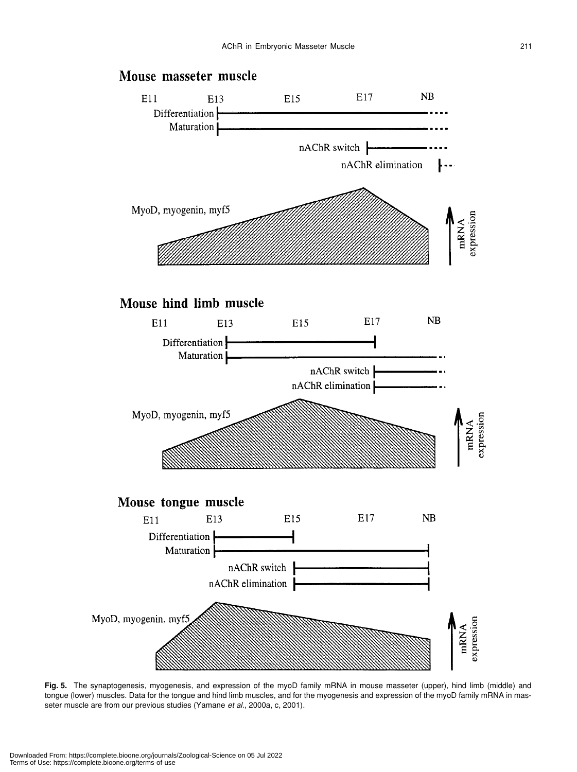

**Fig. 5.** The synaptogenesis, myogenesis, and expression of the myoD family mRNA in mouse masseter (upper), hind limb (middle) and tongue (lower) muscles. Data for the tongue and hind limb muscles, and for the myogenesis and expression of the myoD family mRNA in masseter muscle are from our previous studies (Yamane *et al*., 2000a, c, 2001).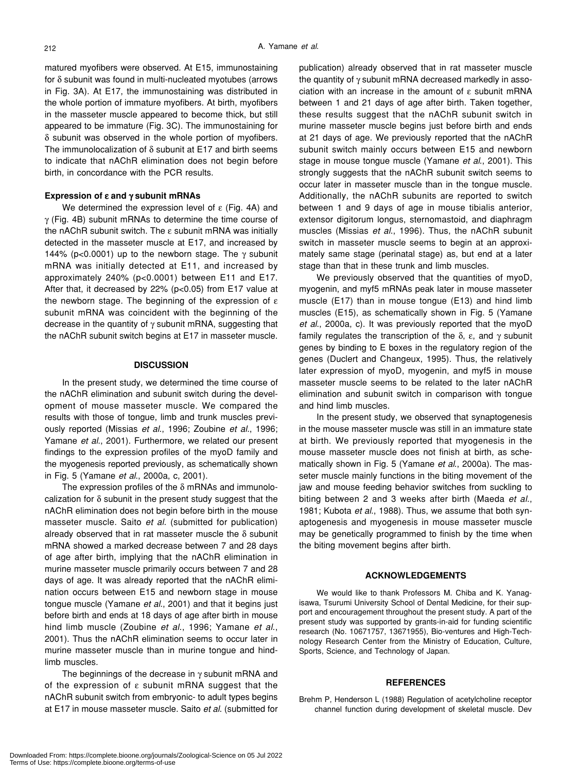matured myofibers were observed. At E15, immunostaining for δ subunit was found in multi-nucleated myotubes (arrows in Fig. 3A). At E17, the immunostaining was distributed in the whole portion of immature myofibers. At birth, myofibers in the masseter muscle appeared to become thick, but still appeared to be immature (Fig. 3C). The immunostaining for δ subunit was observed in the whole portion of myofibers. The immunolocalization of δ subunit at E17 and birth seems to indicate that nAChR elimination does not begin before birth, in concordance with the PCR results.

#### **Expression of** ε **and** γ **subunit mRNAs**

We determined the expression level of  $ε$  (Fig. 4A) and γ (Fig. 4B) subunit mRNAs to determine the time course of the nAChR subunit switch. The ε subunit mRNA was initially detected in the masseter muscle at E17, and increased by 144% (p<0.0001) up to the newborn stage. The  $\gamma$  subunit mRNA was initially detected at E11, and increased by approximately 240% (p<0.0001) between E11 and E17. After that, it decreased by 22% ( $p<0.05$ ) from E17 value at the newborn stage. The beginning of the expression of  $\varepsilon$ subunit mRNA was coincident with the beginning of the decrease in the quantity of  $\gamma$  subunit mRNA, suggesting that the nAChR subunit switch begins at E17 in masseter muscle.

#### **DISCUSSION**

In the present study, we determined the time course of the nAChR elimination and subunit switch during the development of mouse masseter muscle. We compared the results with those of tongue, limb and trunk muscles previously reported (Missias *et al*., 1996; Zoubine *et al.*, 1996; Yamane *et al*., 2001). Furthermore, we related our present findings to the expression profiles of the myoD family and the myogenesis reported previously, as schematically shown in Fig. 5 (Yamane *et al*., 2000a, c, 2001).

The expression profiles of the δ mRNAs and immunolocalization for δ subunit in the present study suggest that the nAChR elimination does not begin before birth in the mouse masseter muscle. Saito *et al*. (submitted for publication) already observed that in rat masseter muscle the  $\delta$  subunit mRNA showed a marked decrease between 7 and 28 days of age after birth, implying that the nAChR elimination in murine masseter muscle primarily occurs between 7 and 28 days of age. It was already reported that the nAChR elimination occurs between E15 and newborn stage in mouse tongue muscle (Yamane *et al*., 2001) and that it begins just before birth and ends at 18 days of age after birth in mouse hind limb muscle (Zoubine *et al*., 1996; Yamane *et al*., 2001). Thus the nAChR elimination seems to occur later in murine masseter muscle than in murine tongue and hindlimb muscles.

The beginnings of the decrease in  $\gamma$  subunit mRNA and of the expression of  $\varepsilon$  subunit mRNA suggest that the nAChR subunit switch from embryonic- to adult types begins at E17 in mouse masseter muscle. Saito *et al*. (submitted for publication) already observed that in rat masseter muscle the quantity of γ subunit mRNA decreased markedly in association with an increase in the amount of  $\varepsilon$  subunit mRNA between 1 and 21 days of age after birth. Taken together, these results suggest that the nAChR subunit switch in murine masseter muscle begins just before birth and ends at 21 days of age. We previously reported that the nAChR subunit switch mainly occurs between E15 and newborn stage in mouse tongue muscle (Yamane *et al*., 2001). This strongly suggests that the nAChR subunit switch seems to occur later in masseter muscle than in the tongue muscle. Additionally, the nAChR subunits are reported to switch between 1 and 9 days of age in mouse tibialis anterior, extensor digitorum longus, sternomastoid, and diaphragm muscles (Missias *et al*., 1996). Thus, the nAChR subunit switch in masseter muscle seems to begin at an approximately same stage (perinatal stage) as, but end at a later stage than that in these trunk and limb muscles.

We previously observed that the quantities of myoD, myogenin, and myf5 mRNAs peak later in mouse masseter muscle (E17) than in mouse tongue (E13) and hind limb muscles (E15), as schematically shown in Fig. 5 (Yamane *et al*., 2000a, c). It was previously reported that the myoD family regulates the transcription of the δ, ε, and γ subunit genes by binding to E boxes in the regulatory region of the genes (Duclert and Changeux, 1995). Thus, the relatively later expression of myoD, myogenin, and myf5 in mouse masseter muscle seems to be related to the later nAChR elimination and subunit switch in comparison with tongue and hind limb muscles.

In the present study, we observed that synaptogenesis in the mouse masseter muscle was still in an immature state at birth. We previously reported that myogenesis in the mouse masseter muscle does not finish at birth, as schematically shown in Fig. 5 (Yamane *et al*., 2000a). The masseter muscle mainly functions in the biting movement of the jaw and mouse feeding behavior switches from suckling to biting between 2 and 3 weeks after birth (Maeda *et al*., 1981; Kubota *et al*., 1988). Thus, we assume that both synaptogenesis and myogenesis in mouse masseter muscle may be genetically programmed to finish by the time when the biting movement begins after birth.

#### **ACKNOWLEDGEMENTS**

We would like to thank Professors M. Chiba and K. Yanagisawa, Tsurumi University School of Dental Medicine, for their support and encouragement throughout the present study. A part of the present study was supported by grants-in-aid for funding scientific research (No. 10671757, 13671955), Bio-ventures and High-Technology Research Center from the Ministry of Education, Culture, Sports, Science, and Technology of Japan.

#### **REFERENCES**

Brehm P, Henderson L (1988) Regulation of acetylcholine receptor channel function during development of skeletal muscle. Dev